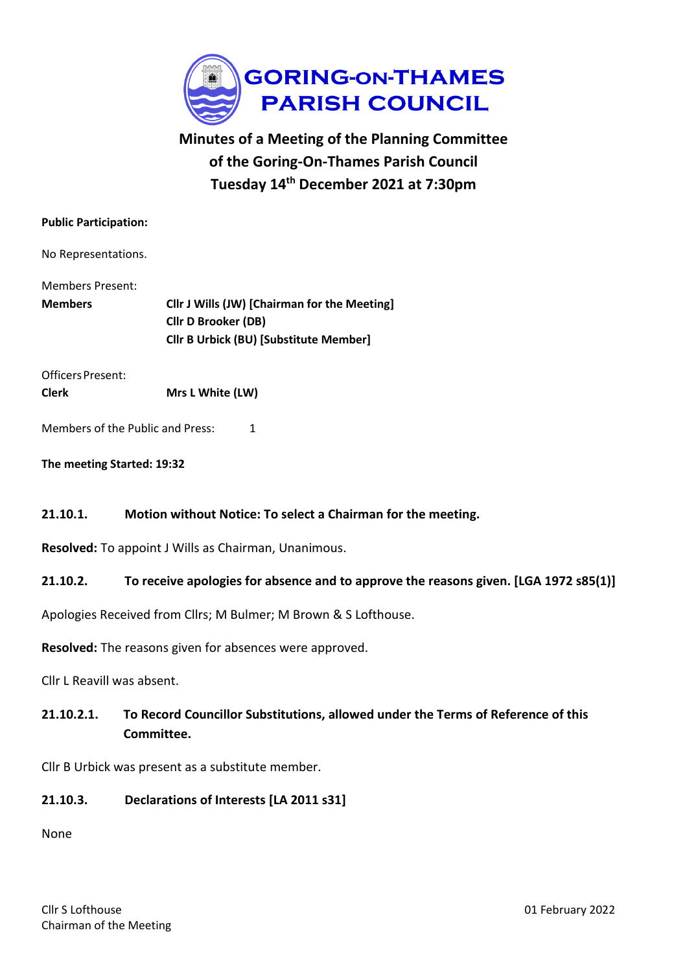

# **Minutes of a Meeting of the Planning Committee of the Goring-On-Thames Parish Council Tuesday 14th December 2021 at 7:30pm**

#### **Public Participation:**

No Representations.

| Members Present: |                                               |
|------------------|-----------------------------------------------|
| <b>Members</b>   | Cllr J Wills (JW) [Chairman for the Meeting]  |
|                  | <b>Clir D Brooker (DB)</b>                    |
|                  | <b>Cllr B Urbick (BU) [Substitute Member]</b> |

OfficersPresent:

**Clerk Mrs L White (LW)**

Members of the Public and Press: 1

**The meeting Started: 19:32**

#### **21.10.1. Motion without Notice: To select a Chairman for the meeting.**

**Resolved:** To appoint J Wills as Chairman, Unanimous.

#### **21.10.2. To receive apologies for absence and to approve the reasons given. [LGA 1972 s85(1)]**

Apologies Received from Cllrs; M Bulmer; M Brown & S Lofthouse.

**Resolved:** The reasons given for absences were approved.

Cllr L Reavill was absent.

# **21.10.2.1. To Record Councillor Substitutions, allowed under the Terms of Reference of this Committee.**

Cllr B Urbick was present as a substitute member.

#### **21.10.3. Declarations of Interests [LA 2011 s31]**

None